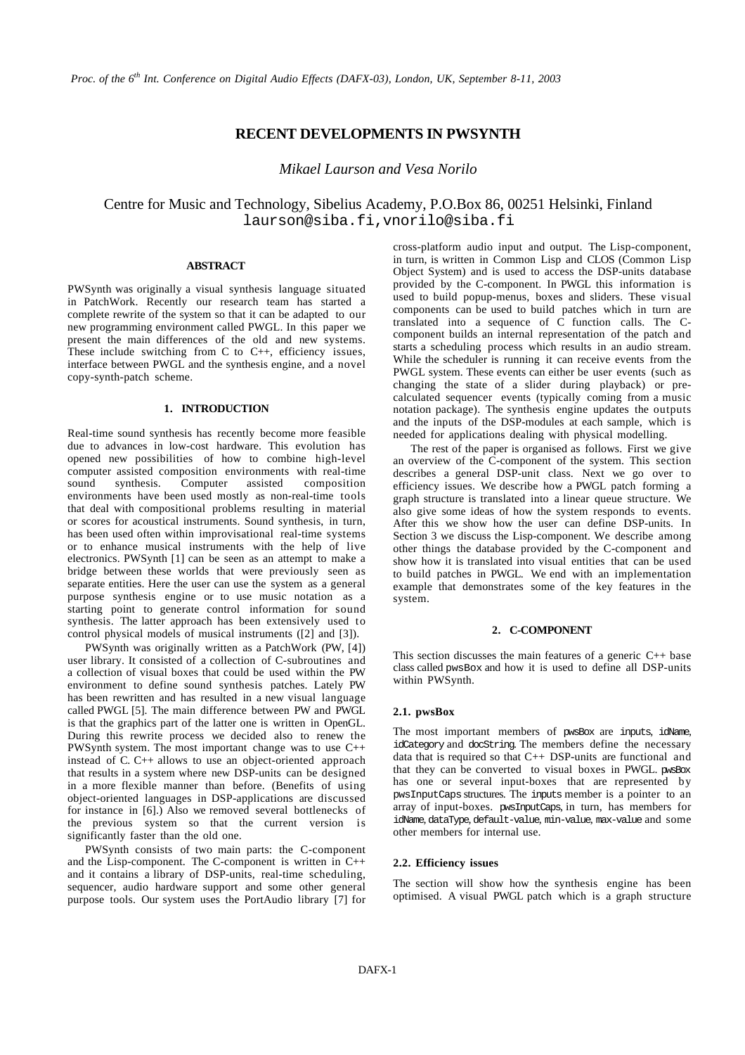# **RECENT DEVELOPMENTS IN PWSYNTH**

*Mikael Laurson and Vesa Norilo*

Centre for Music and Technology, Sibelius Academy, P.O.Box 86, 00251 Helsinki, Finland laurson@siba.fi,vnorilo@siba.fi

#### **ABSTRACT**

PWSynth was originally a visual synthesis language situated in PatchWork. Recently our research team has started a complete rewrite of the system so that it can be adapted to our new programming environment called PWGL. In this paper we present the main differences of the old and new systems. These include switching from  $C$  to  $C_{++}$ , efficiency issues, interface between PWGL and the synthesis engine, and a novel copy-synth-patch scheme.

## **1. INTRODUCTION**

Real-time sound synthesis has recently become more feasible due to advances in low-cost hardware. This evolution has opened new possibilities of how to combine high-level computer assisted composition environments with real-time sound synthesis. Computer assisted composition environments have been used mostly as non-real-time tools that deal with compositional problems resulting in material or scores for acoustical instruments. Sound synthesis, in turn, has been used often within improvisational real-time systems or to enhance musical instruments with the help of live electronics. PWSynth [1] can be seen as an attempt to make a bridge between these worlds that were previously seen as separate entities. Here the user can use the system as a general purpose synthesis engine or to use music notation as a starting point to generate control information for sound synthesis. The latter approach has been extensively used to control physical models of musical instruments ([2] and [3]).

PWSynth was originally written as a PatchWork (PW, [4]) user library. It consisted of a collection of C-subroutines and a collection of visual boxes that could be used within the PW environment to define sound synthesis patches. Lately PW has been rewritten and has resulted in a new visual language called PWGL [5]. The main difference between PW and PWGL is that the graphics part of the latter one is written in OpenGL. During this rewrite process we decided also to renew the PWSynth system. The most important change was to use C++ instead of C. C++ allows to use an object-oriented approach that results in a system where new DSP-units can be designed in a more flexible manner than before. (Benefits of using object-oriented languages in DSP-applications are discussed for instance in [6].) Also we removed several bottlenecks of the previous system so that the current version is significantly faster than the old one.

PWSynth consists of two main parts: the C-component and the Lisp-component. The C-component is written in C++ and it contains a library of DSP-units, real-time scheduling, sequencer, audio hardware support and some other general purpose tools. Our system uses the PortAudio library [7] for cross-platform audio input and output. The Lisp-component, in turn, is written in Common Lisp and CLOS (Common Lisp Object System) and is used to access the DSP-units database provided by the C-component. In PWGL this information is used to build popup-menus, boxes and sliders. These visual components can be used to build patches which in turn are translated into a sequence of  $\overrightarrow{C}$  function calls. The Ccomponent builds an internal representation of the patch and starts a scheduling process which results in an audio stream. While the scheduler is running it can receive events from the PWGL system. These events can either be user events (such as changing the state of a slider during playback) or precalculated sequencer events (typically coming from a music notation package). The synthesis engine updates the outputs and the inputs of the DSP-modules at each sample, which is needed for applications dealing with physical modelling.

The rest of the paper is organised as follows. First we give an overview of the C-component of the system. This section describes a general DSP-unit class. Next we go over to efficiency issues. We describe how a PWGL patch forming a graph structure is translated into a linear queue structure. We also give some ideas of how the system responds to events. After this we show how the user can define DSP-units. In Section 3 we discuss the Lisp-component. We describe among other things the database provided by the C-component and show how it is translated into visual entities that can be used to build patches in PWGL. We end with an implementation example that demonstrates some of the key features in the system.

#### **2. C-COMPONENT**

This section discusses the main features of a generic C++ base class called pwsBox and how it is used to define all DSP-units within PWSynth.

#### **2.1. pwsBox**

The most important members of pwsBox are inputs, idName, idCategory and docString. The members define the necessary data that is required so that C++ DSP-units are functional and that they can be converted to visual boxes in PWGL. pwsBox has one or several input-boxes that are represented by pwsInputCaps structures. The inputs member is a pointer to an array of input-boxes. pwsInputCaps, in turn, has members for idName, dataType, default-value, min-value, max-value and some other members for internal use.

#### **2.2. Efficiency issues**

The section will show how the synthesis engine has been optimised. A visual PWGL patch which is a graph structure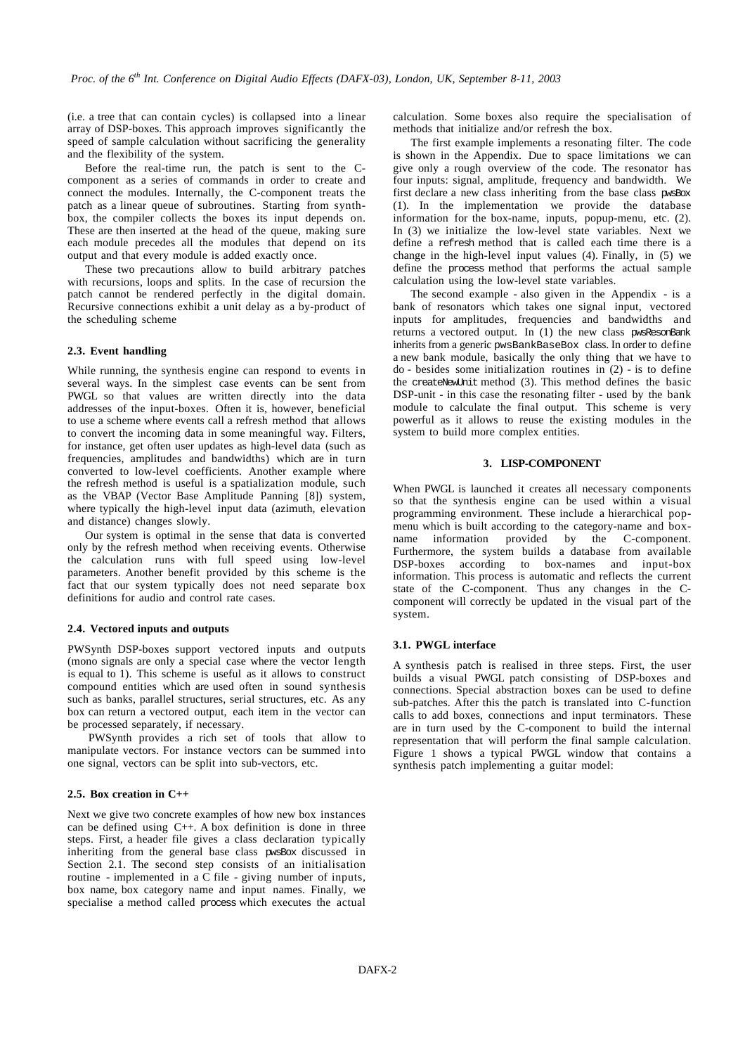(i.e. a tree that can contain cycles) is collapsed into a linear array of DSP-boxes. This approach improves significantly the speed of sample calculation without sacrificing the generality and the flexibility of the system.

Before the real-time run, the patch is sent to the Ccomponent as a series of commands in order to create and connect the modules. Internally, the C-component treats the patch as a linear queue of subroutines. Starting from synthbox, the compiler collects the boxes its input depends on. These are then inserted at the head of the queue, making sure each module precedes all the modules that depend on its output and that every module is added exactly once.

These two precautions allow to build arbitrary patches with recursions, loops and splits. In the case of recursion the patch cannot be rendered perfectly in the digital domain. Recursive connections exhibit a unit delay as a by-product of the scheduling scheme

#### **2.3. Event handling**

While running, the synthesis engine can respond to events in several ways. In the simplest case events can be sent from PWGL so that values are written directly into the data addresses of the input-boxes. Often it is, however, beneficial to use a scheme where events call a refresh method that allows to convert the incoming data in some meaningful way. Filters, for instance, get often user updates as high-level data (such as frequencies, amplitudes and bandwidths) which are in turn converted to low-level coefficients. Another example where the refresh method is useful is a spatialization module, such as the VBAP (Vector Base Amplitude Panning [8]) system, where typically the high-level input data (azimuth, elevation and distance) changes slowly.

Our system is optimal in the sense that data is converted only by the refresh method when receiving events. Otherwise the calculation runs with full speed using low-level parameters. Another benefit provided by this scheme is the fact that our system typically does not need separate box definitions for audio and control rate cases.

#### **2.4. Vectored inputs and outputs**

PWSynth DSP-boxes support vectored inputs and outputs (mono signals are only a special case where the vector length is equal to 1). This scheme is useful as it allows to construct compound entities which are used often in sound synthesis such as banks, parallel structures, serial structures, etc. As any box can return a vectored output, each item in the vector can be processed separately, if necessary.

 PWSynth provides a rich set of tools that allow to manipulate vectors. For instance vectors can be summed into one signal, vectors can be split into sub-vectors, etc.

## **2.5. Box creation in C++**

Next we give two concrete examples of how new box instances can be defined using C++. A box definition is done in three steps. First, a header file gives a class declaration typically inheriting from the general base class pwsBox discussed in Section 2.1. The second step consists of an initialisation routine - implemented in a  $\overline{C}$  file - giving number of inputs, box name, box category name and input names. Finally, we specialise a method called process which executes the actual calculation. Some boxes also require the specialisation of methods that initialize and/or refresh the box.

The first example implements a resonating filter. The code is shown in the Appendix. Due to space limitations we can give only a rough overview of the code. The resonator has four inputs: signal, amplitude, frequency and bandwidth. We first declare a new class inheriting from the base class pwsBox (1). In the implementation we provide the database information for the box-name, inputs, popup-menu, etc. (2). In (3) we initialize the low-level state variables. Next we define a refresh method that is called each time there is a change in the high-level input values (4). Finally, in (5) we define the process method that performs the actual sample calculation using the low-level state variables.

The second example - also given in the Appendix - is a bank of resonators which takes one signal input, vectored inputs for amplitudes, frequencies and bandwidths and returns a vectored output. In (1) the new class pwsResonBank inherits from a generic pwsBankBaseBox class. In order to define a new bank module, basically the only thing that we have to do - besides some initialization routines in (2) - is to define the createNewUnit method (3). This method defines the basic DSP-unit - in this case the resonating filter - used by the bank module to calculate the final output. This scheme is very powerful as it allows to reuse the existing modules in the system to build more complex entities.

### **3. LISP-COMPONENT**

When PWGL is launched it creates all necessary components so that the synthesis engine can be used within a visual programming environment. These include a hierarchical popmenu which is built according to the category-name and boxname information provided by the C-component. Furthermore, the system builds a database from available DSP-boxes according to box-names and input-box information. This process is automatic and reflects the current state of the C-component. Thus any changes in the Ccomponent will correctly be updated in the visual part of the system.

#### **3.1. PWGL interface**

A synthesis patch is realised in three steps. First, the user builds a visual PWGL patch consisting of DSP-boxes and connections. Special abstraction boxes can be used to define sub-patches. After this the patch is translated into C-function calls to add boxes, connections and input terminators. These are in turn used by the C-component to build the internal representation that will perform the final sample calculation. Figure 1 shows a typical PWGL window that contains a synthesis patch implementing a guitar model: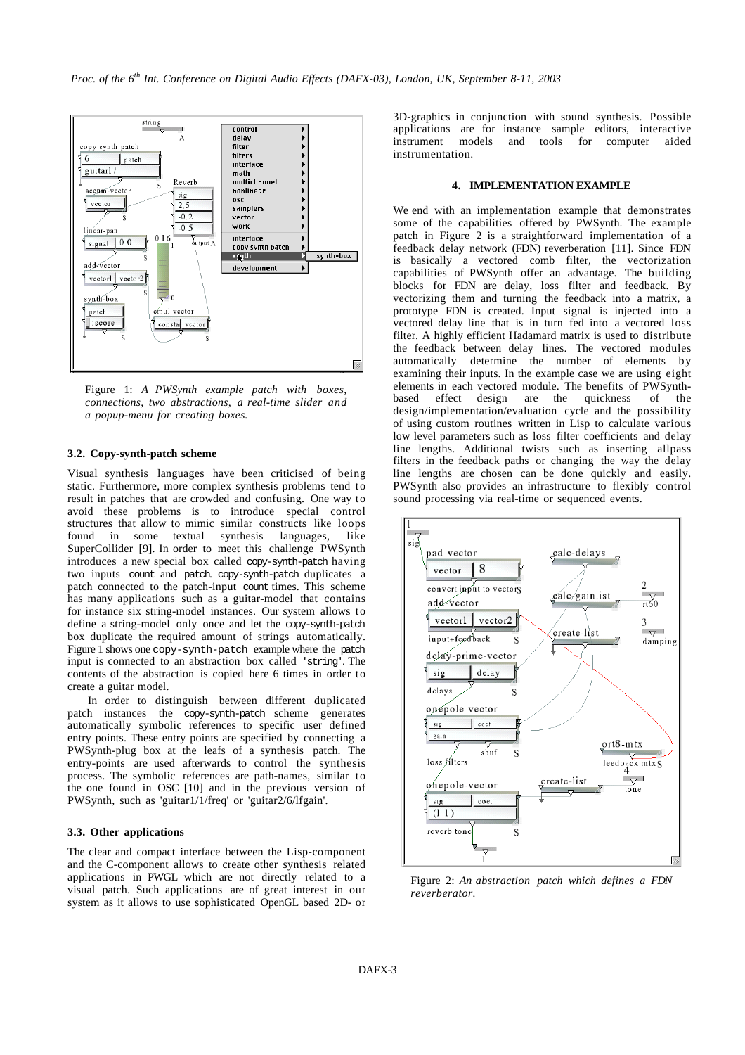

Figure 1: *A PWSynth example patch with boxes, connections, two abstractions, a real-time slider and a popup-menu for creating boxes.*

## **3.2. Copy-synth-patch scheme**

Visual synthesis languages have been criticised of being static. Furthermore, more complex synthesis problems tend to result in patches that are crowded and confusing. One way to avoid these problems is to introduce special control structures that allow to mimic similar constructs like loops found in some textual synthesis languages, like SuperCollider [9]. In order to meet this challenge PWSynth introduces a new special box called copy-synth-patch having two inputs count and patch. copy-synth-patch duplicates a patch connected to the patch-input count times. This scheme has many applications such as a guitar-model that contains for instance six string-model instances. Our system allows to define a string-model only once and let the copy-synth-patch box duplicate the required amount of strings automatically. Figure 1 shows one copy-synth-patch example where the patch input is connected to an abstraction box called 'string'. The contents of the abstraction is copied here 6 times in order to create a guitar model.

 In order to distinguish between different duplicated patch instances the copy-synth-patch scheme generates automatically symbolic references to specific user defined entry points. These entry points are specified by connecting a PWSynth-plug box at the leafs of a synthesis patch. The entry-points are used afterwards to control the synthesis process. The symbolic references are path-names, similar to the one found in OSC [10] and in the previous version of PWSynth, such as 'guitar1/1/freq' or 'guitar2/6/lfgain'.

#### **3.3. Other applications**

The clear and compact interface between the Lisp-component and the C-component allows to create other synthesis related applications in PWGL which are not directly related to a visual patch. Such applications are of great interest in our system as it allows to use sophisticated OpenGL based 2D- or 3D-graphics in conjunction with sound synthesis. Possible applications are for instance sample editors, interactive instrument models and tools for computer aided instrumentation.

#### **4. IMPLEMENTATION EXAMPLE**

We end with an implementation example that demonstrates some of the capabilities offered by PWSynth. The example patch in Figure 2 is a straightforward implementation of a feedback delay network (FDN) reverberation [11]. Since FDN is basically a vectored comb filter, the vectorization capabilities of PWSynth offer an advantage. The building blocks for FDN are delay, loss filter and feedback. By vectorizing them and turning the feedback into a matrix, a prototype FDN is created. Input signal is injected into a vectored delay line that is in turn fed into a vectored loss filter. A highly efficient Hadamard matrix is used to distribute the feedback between delay lines. The vectored modules automatically determine the number of elements by examining their inputs. In the example case we are using eight elements in each vectored module. The benefits of PWSynthbased effect design are the quickness of the design/implementation/evaluation cycle and the possibility of using custom routines written in Lisp to calculate various low level parameters such as loss filter coefficients and delay line lengths. Additional twists such as inserting allpass filters in the feedback paths or changing the way the delay line lengths are chosen can be done quickly and easily. PWSynth also provides an infrastructure to flexibly control sound processing via real-time or sequenced events.



Figure 2: *An abstraction patch which defines a FDN reverberator.*